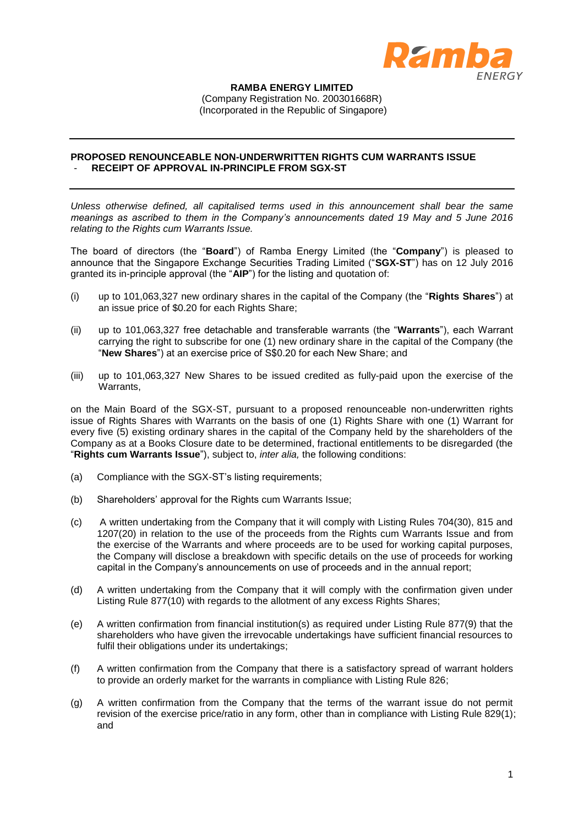

## **RAMBA ENERGY LIMITED** (Company Registration No. 200301668R) (Incorporated in the Republic of Singapore)

## **PROPOSED RENOUNCEABLE NON-UNDERWRITTEN RIGHTS CUM WARRANTS ISSUE** - **RECEIPT OF APPROVAL IN-PRINCIPLE FROM SGX-ST**

*Unless otherwise defined, all capitalised terms used in this announcement shall bear the same meanings as ascribed to them in the Company's announcements dated 19 May and 5 June 2016 relating to the Rights cum Warrants Issue.*

The board of directors (the "**Board**") of Ramba Energy Limited (the "**Company**") is pleased to announce that the Singapore Exchange Securities Trading Limited ("**SGX-ST**") has on 12 July 2016 granted its in-principle approval (the "**AIP**") for the listing and quotation of:

- (i) up to 101,063,327 new ordinary shares in the capital of the Company (the "**Rights Shares**") at an issue price of \$0.20 for each Rights Share;
- (ii) up to 101,063,327 free detachable and transferable warrants (the "**Warrants**"), each Warrant carrying the right to subscribe for one (1) new ordinary share in the capital of the Company (the "**New Shares**") at an exercise price of S\$0.20 for each New Share; and
- (iii) up to 101,063,327 New Shares to be issued credited as fully-paid upon the exercise of the Warrants,

on the Main Board of the SGX-ST, pursuant to a proposed renounceable non-underwritten rights issue of Rights Shares with Warrants on the basis of one (1) Rights Share with one (1) Warrant for every five (5) existing ordinary shares in the capital of the Company held by the shareholders of the Company as at a Books Closure date to be determined, fractional entitlements to be disregarded (the "**Rights cum Warrants Issue**"), subject to, *inter alia,* the following conditions:

- (a) Compliance with the SGX-ST's listing requirements;
- (b) Shareholders' approval for the Rights cum Warrants Issue;
- (c) A written undertaking from the Company that it will comply with Listing Rules 704(30), 815 and 1207(20) in relation to the use of the proceeds from the Rights cum Warrants Issue and from the exercise of the Warrants and where proceeds are to be used for working capital purposes, the Company will disclose a breakdown with specific details on the use of proceeds for working capital in the Company's announcements on use of proceeds and in the annual report;
- (d) A written undertaking from the Company that it will comply with the confirmation given under Listing Rule 877(10) with regards to the allotment of any excess Rights Shares;
- (e) A written confirmation from financial institution(s) as required under Listing Rule 877(9) that the shareholders who have given the irrevocable undertakings have sufficient financial resources to fulfil their obligations under its undertakings;
- (f) A written confirmation from the Company that there is a satisfactory spread of warrant holders to provide an orderly market for the warrants in compliance with Listing Rule 826;
- (g) A written confirmation from the Company that the terms of the warrant issue do not permit revision of the exercise price/ratio in any form, other than in compliance with Listing Rule 829(1); and